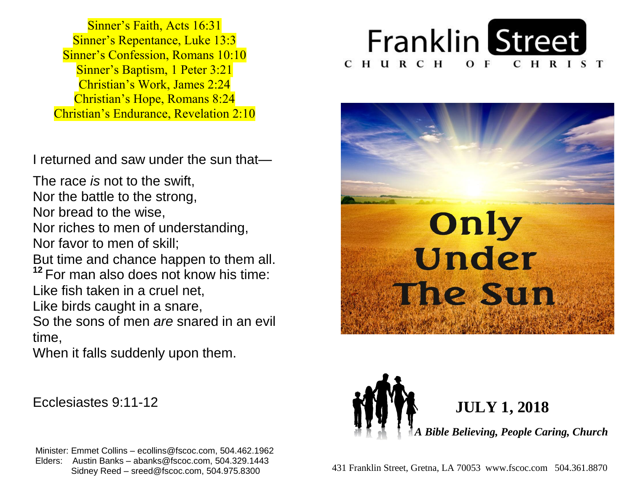**Sinner's Repentance, Luke 13:3 Sinner's Confession, Romans 10:10 Sinner's Baptism, 1 Peter 3:21**  Christian's Work, James 2:24  Christian's Hope, Romans 8:24  Christian's Endurance, Revelation 2:10 Sinner's Faith, Acts 16:31

 I returned and saw under the sun that—

 The race *is* not to the swift,  Nor the battle to the strong, Nor riches to men of understanding,  Nor favor to men of skill; But time and chance happen to them all. <sup>12</sup> For man also does not know his time: Like fish taken in a cruel net, Like birds caught in a snare,  So the sons of men *are* snared in an evil  Nor bread to the wise, time,

 When it falls suddenly upon them.

Ecclesiastes 9:11-12

 Minister: Emmet Collins – ecollins@fscoc.com, 504.462.1962  Elders: Austin Banks – abanks@fscoc.com, 504.329.1443  Sidney Reed – sreed@fscoc.com, 504.975.8300431 Franklin Street, Gretna, LA 70053 www.fscoc.com 504.361.8870







  **JULY 1, 2018**

 *A Bible Believing, People Caring, Church*